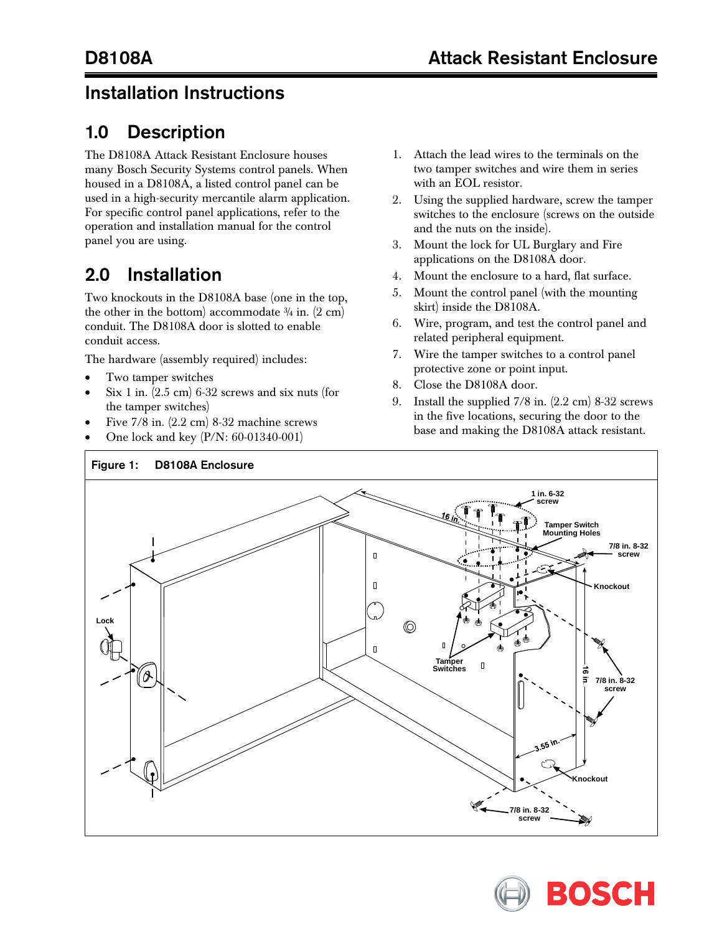## Installation Instructions

## 1.0 Description

The D8108A Attack Resistant Enclosure houses many Bosch Security Systems control panels. When housed in a D8108A, a listed control panel can be used in a high-security mercantile alarm application. For specific control panel applications, refer to the operation and installation manual for the control panel you are using.

## 2.0 Installation

Two knockouts in the D8108A base (one in the top, the other in the bottom) accommodate  $\frac{3}{4}$  in. (2 cm) conduit. The D8108A door is slotted to enable conduit access.

The hardware (assembly required) includes:

- Two tamper switches
- Six 1 in.  $(2.5 \text{ cm})$  6-32 screws and six nuts (for the tamper switches)
- Five 7/8 in. (2.2 cm) 8-32 machine screws
- One lock and key (P/N: 60-01340-001)
- 1. Attach the lead wires to the terminals on the two tamper switches and wire them in series with an EOL resistor.
- 2. Using the supplied hardware, screw the tamper switches to the enclosure (screws on the outside and the nuts on the inside).
- 3. Mount the lock for UL Burglary and Fire applications on the D8108A door.
- 4. Mount the enclosure to a hard, flat surface.
- 5. Mount the control panel (with the mounting skirt) inside the D8108A.
- 6. Wire, program, and test the control panel and related peripheral equipment.
- 7. Wire the tamper switches to a control panel protective zone or point input.
- 8. Close the D8108A door.
- 9. Install the supplied 7/8 in. (2.2 cm) 8-32 screws in the five locations, securing the door to the base and making the D8108A attack resistant.